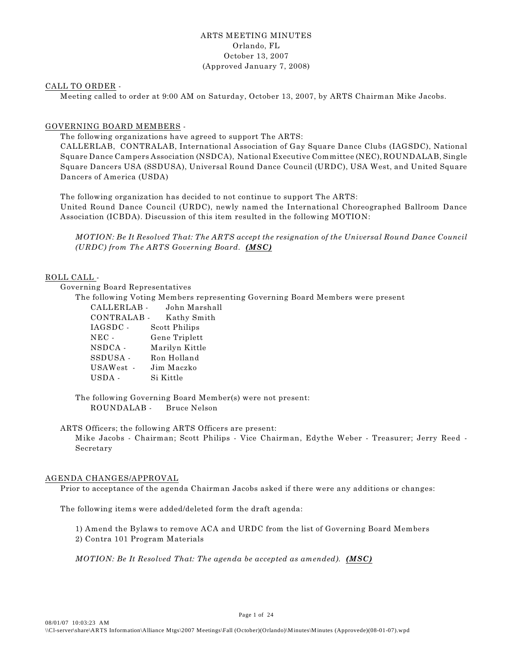#### ARTS MEETING MINUTES Orlando, FL October 13, 2007 (Approved January 7, 2008)

#### CALL TO ORDER -

Meeting called to order at 9:00 AM on Saturday, October 13, 2007, by ARTS Chairman Mike Jacobs.

#### GOVERNING BOARD MEMBERS -

The following organizations have agreed to support The ARTS:

CALLERLAB, CONTRALAB, International Association of Gay Square Dance Clubs (IAGSDC), National Square Dance Campers Association (NSDCA), National Executive Committee (NEC), ROUNDALAB, Single Square Dancers USA (SSDUSA), Universal Round Dance Council (URDC), USA West, and United Square Dancers of America (USDA)

The following organization has decided to not continue to support The ARTS:

United Round Dance Council (URDC), newly named the International Choreographed Ballroom Dance Association (ICBDA). Discussion of this item resulted in the following MOTION:

*MOTION: Be It Resolved That: The ARTS accept the resignation of the Universal Round Dance Council (URDC) from The ARTS Governing Board. (MSC)* 

#### ROLL CALL -

Governing Board Representatives

The following Voting Members representing Governing Board Members were present

CALLERLAB - John Marshall CONTRALAB - Kathy Smith IAGSDC - Scott Philips NEC - Gene Triplett NSDCA - Marilyn Kittle SSDUSA - Ron Holland USAWest - Jim Maczko USDA - Si Kittle

The following Governing Board Member(s) were not present: ROUNDALAB - Bruce Nelson

ARTS Officers; the following ARTS Officers are present:

Mike Jacobs - Chairman; Scott Philips - Vice Chairman, Edythe Weber - Treasurer; Jerry Reed - Secretary

#### AGENDA CHANGES/APPROVAL

Prior to acceptance of the agenda Chairman Jacobs asked if there were any additions or changes:

The following items were added/deleted form the draft agenda:

1) Amend the Bylaws to remove ACA and URDC from the list of Governing Board Members 2) Contra 101 Program Materials

*MOTION: Be It Resolved That: The agenda be accepted as amended). (MSC)*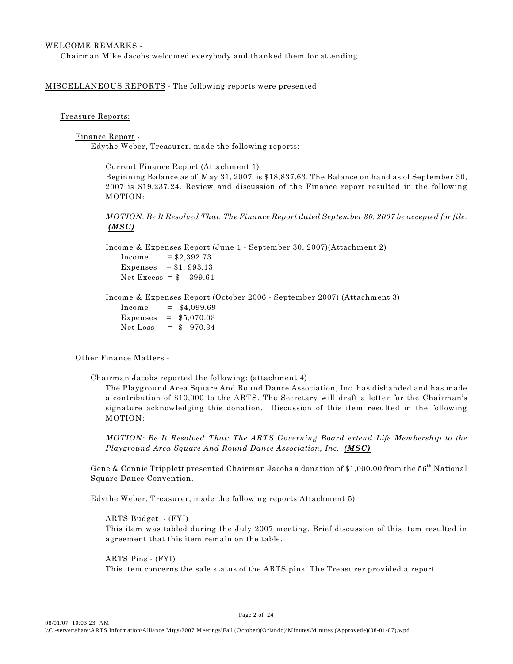#### WELCOME REMARKS -

Chairman Mike Jacobs welcomed everybody and thanked them for attending.

MISCELLANEOUS REPORTS - The following reports were presented:

#### Treasure Reports:

Finance Report - Edythe Weber, Treasurer, made the following reports:

> Current Finance Report (Attachment 1) Beginning Balance as of May 31, 2007 is \$18,837.63. The Balance on hand as of September 30, 2007 is \$19,237.24. Review and discussion of the Finance report resulted in the following MOTION:

> *MOTION: Be It Resolved That: The Finance Report dated September 30, 2007 be accepted for file. (MSC)*

Income & Expenses Report (June 1 - September 30, 2007)(Attachment 2)  $Income = $2.392.73$ Expenses =  $$1, 993.13$ Net Excess =  $$399.61$ 

Income & Expenses Report (October 2006 - September 2007) (Attachment 3)  $Income = $4.099.69$ Expenses = \$5,070.03 Net Loss =  $-$ \$ 970.34

#### Other Finance Matters -

Chairman Jacobs reported the following: (attachment 4)

The Playground Area Square And Round Dance Association, Inc. has disbanded and has made a contribution of \$10,000 to the ARTS. The Secretary will draft a letter for the Chairman's signature acknowledging this donation. Discussion of this item resulted in the following MOTION:

*MOTION: Be It Resolved That: The ARTS Governing Board extend Life Membership to the Playground Area Square And Round Dance Association, Inc. (MSC)* 

Gene & Connie Tripplett presented Chairman Jacobs a donation of \$1,000.00 from the  $56<sup>th</sup>$  National Square Dance Convention.

Edythe Weber, Treasurer, made the following reports Attachment 5)

ARTS Budget - (FYI) This item was tabled during the July 2007 meeting. Brief discussion of this item resulted in agreement that this item remain on the table.

 ARTS Pins - (FYI) This item concerns the sale status of the ARTS pins. The Treasurer provided a report.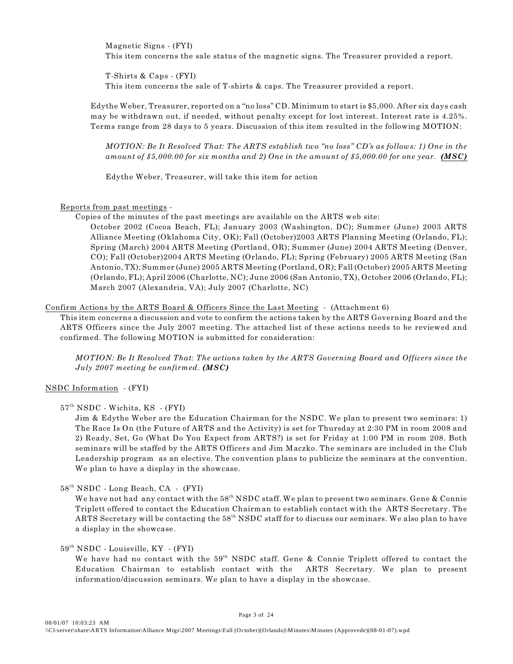Magnetic Signs - (FYI) This item concerns the sale status of the magnetic signs. The Treasurer provided a report.

T-Shirts & Caps - (FYI) This item concerns the sale of T-shirts & caps. The Treasurer provided a report.

Edythe Weber, Treasurer, reported on a "no loss" CD. Minimum to start is \$5,000. After six days cash may be withdrawn out, if needed, without penalty except for lost interest. Interest rate is 4.25%. Terms range from 28 days to 5 years. Discussion of this item resulted in the following MOTION:

*MOTION: Be It Resolved That: The ARTS establish two "no loss" CD's as follows: 1) One in the amount of \$5,000.00 for six months and 2) One in the amount of \$5,000.00 for one year. (MSC)*

Edythe Weber, Treasurer, will take this item for action

Reports from past meetings -

Copies of the minutes of the past meetings are available on the ARTS web site:

October 2002 (Cocoa Beach, FL); January 2003 (Washington, DC); Summer (June) 2003 ARTS Alliance Meeting (Oklahoma City, OK); Fall (October)2003 ARTS Planning Meeting (Orlando, FL); Spring (March) 2004 ARTS Meeting (Portland, OR); Summer (June) 2004 ARTS Meeting (Denver, CO); Fall (October)2004 ARTS Meeting (Orlando, FL); Spring (February) 2005 ARTS Meeting (San Antonio, TX); Summer (June) 2005 ARTS Meeting (Portland, OR); Fall (October) 2005 ARTS Meeting (Orlando, FL); April 2006 (Charlotte, NC); June 2006 (San Antonio, TX), October 2006 (Orlando, FL); March 2007 (Alexandria, VA); July 2007 (Charlotte, NC)

#### Confirm Actions by the ARTS Board & Officers Since the Last Meeting - (Attachment 6)

This item concerns a discussion and vote to confirm the actions taken by the ARTS Governing Board and the ARTS Officers since the July 2007 meeting. The attached list of these actions needs to be reviewed and confirmed. The following MOTION is submitted for consideration:

*MOTION: Be It Resolved That: The actions taken by the ARTS Governing Board and Officers since the July 2007 meeting be confirmed. (MSC)*

#### NSDC Information - (FYI)

#### 57<sup>th</sup> NSDC - Wichita, KS - (FYI)

Jim & Edythe Weber are the Education Chairman for the NSDC. We plan to present two seminars: 1) The Race Is On (the Future of ARTS and the Activity) is set for Thursday at 2:30 PM in room 2008 and 2) Ready, Set, Go (What Do You Expect from ARTS?) is set for Friday at 1:00 PM in room 208. Both seminars will be staffed by the ARTS Officers and Jim Maczko. The seminars are included in the Club Leadership program as an elective. The convention plans to publicize the seminars at the convention. We plan to have a display in the showcase.

 $58<sup>th</sup> NSDC$  - Long Beach, CA - (FYI)

We have not had any contact with the  $58<sup>th</sup> NSDC$  staff. We plan to present two seminars. Gene & Connie Triplett offered to contact the Education Chairman to establish contact with the ARTS Secretary. The ARTS Secretary will be contacting the  $58^{\text{th}}$  NSDC staff for to discuss our seminars. We also plan to have a display in the showcase.

#### $59<sup>th</sup> NSDC$  - Louisville, KY - (FYI)

We have had no contact with the  $59<sup>th</sup>$  NSDC staff. Gene & Connie Triplett offered to contact the Education Chairman to establish contact with the ARTS Secretary. We plan to present information/discussion seminars. We plan to have a display in the showcase.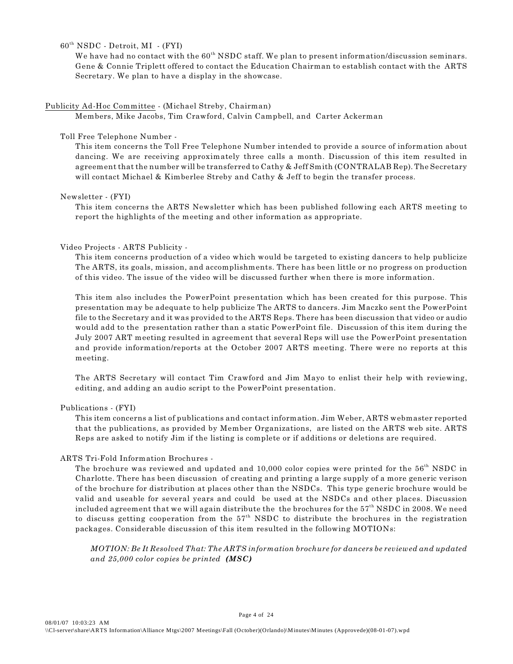$60<sup>th</sup> NSDC - Detroit, MI - (FYI)$ 

We have had no contact with the  $60<sup>th</sup>$  NSDC staff. We plan to present information/discussion seminars. Gene & Connie Triplett offered to contact the Education Chairman to establish contact with the ARTS Secretary. We plan to have a display in the showcase.

#### Publicity Ad-Hoc Committee - (Michael Streby, Chairman)

Members, Mike Jacobs, Tim Crawford, Calvin Campbell, and Carter Ackerman

#### Toll Free Telephone Number -

This item concerns the Toll Free Telephone Number intended to provide a source of information about dancing. We are receiving approximately three calls a month. Discussion of this item resulted in agreement that the number will be transferred to Cathy & Jeff Smith (CONTRALAB Rep). The Secretary will contact Michael & Kimberlee Streby and Cathy & Jeff to begin the transfer process.

#### Newsletter - (FYI)

This item concerns the ARTS Newsletter which has been published following each ARTS meeting to report the highlights of the meeting and other information as appropriate.

#### Video Projects - ARTS Publicity -

This item concerns production of a video which would be targeted to existing dancers to help publicize The ARTS, its goals, mission, and accomplishments. There has been little or no progress on production of this video. The issue of the video will be discussed further when there is more information.

This item also includes the PowerPoint presentation which has been created for this purpose. This presentation may be adequate to help publicize The ARTS to dancers. Jim Maczko sent the PowerPoint file to the Secretary and it was provided to the ARTS Reps. There has been discussion that video or audio would add to the presentation rather than a static PowerPoint file. Discussion of this item during the July 2007 ART meeting resulted in agreement that several Reps will use the PowerPoint presentation and provide information/reports at the October 2007 ARTS meeting. There were no reports at this meeting.

The ARTS Secretary will contact Tim Crawford and Jim Mayo to enlist their help with reviewing, editing, and adding an audio script to the PowerPoint presentation.

#### Publications - (FYI)

This item concerns a list of publications and contact information. Jim Weber, ARTS webmaster reported that the publications, as provided by Member Organizations, are listed on the ARTS web site. ARTS Reps are asked to notify Jim if the listing is complete or if additions or deletions are required.

#### ARTS Tri-Fold Information Brochures -

The brochure was reviewed and updated and 10,000 color copies were printed for the 56<sup>th</sup> NSDC in Charlotte. There has been discussion of creating and printing a large supply of a more generic verison of the brochure for distribution at places other than the NSDCs. This type generic brochure would be valid and useable for several years and could be used at the NSDCs and other places. Discussion included agreement that we will again distribute the the brochures for the  $57<sup>th</sup>$  NSDC in 2008. We need to discuss getting cooperation from the  $57<sup>th</sup>$  NSDC to distribute the brochures in the registration packages. Considerable discussion of this item resulted in the following MOTIONs:

*MOTION: Be It Resolved That: The ARTS information brochure for dancers be reviewed and updated and 25,000 color copies be printed (MSC)*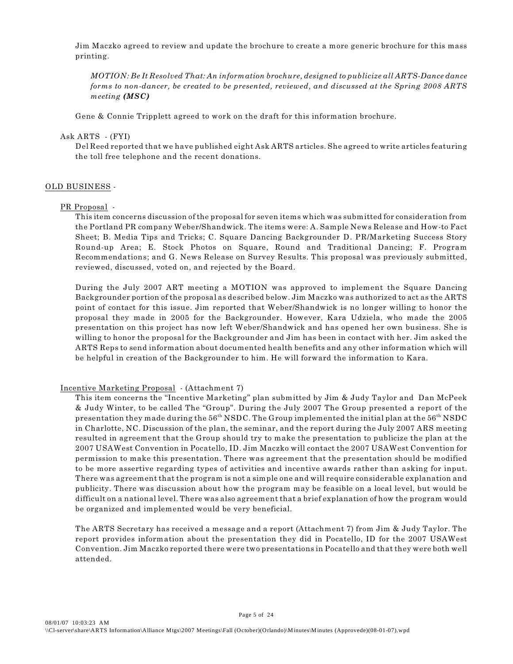Jim Maczko agreed to review and update the brochure to create a more generic brochure for this mass printing.

*MOTION: Be It Resolved That: An information brochure, designed to publicize all ARTS-Dance dance forms to non-dancer, be created to be presented, reviewed, and discussed at the Spring 2008 ARTS meeting (MSC)*

Gene & Connie Tripplett agreed to work on the draft for this information brochure.

Ask ARTS - (FYI)

Del Reed reported that we have published eight Ask ARTS articles. She agreed to write articles featuring the toll free telephone and the recent donations.

#### OLD BUSINESS -

#### PR Proposal -

This item concerns discussion of the proposal for seven items which was submitted for consideration from the Portland PR company Weber/Shandwick. The items were: A. Sample News Release and How-to Fact Sheet; B. Media Tips and Tricks; C. Square Dancing Backgrounder D. PR/Marketing Success Story Round-up Area; E. Stock Photos on Square, Round and Traditional Dancing; F. Program Recommendations; and G. News Release on Survey Results. This proposal was previously submitted, reviewed, discussed, voted on, and rejected by the Board.

During the July 2007 ART meeting a MOTION was approved to implement the Square Dancing Backgrounder portion of the proposal as described below. Jim Maczko was authorized to act as the ARTS point of contact for this issue. Jim reported that Weber/Shandwick is no longer willing to honor the proposal they made in 2005 for the Backgrounder. However, Kara Udziela, who made the 2005 presentation on this project has now left Weber/Shandwick and has opened her own business. She is willing to honor the proposal for the Backgrounder and Jim has been in contact with her. Jim asked the ARTS Reps to send information about documented health benefits and any other information which will be helpful in creation of the Backgrounder to him. He will forward the information to Kara.

#### Incentive Marketing Proposal - (Attachment 7)

This item concerns the "Incentive Marketing" plan submitted by Jim & Judy Taylor and Dan McPeek & Judy Winter, to be called The "Group". During the July 2007 The Group presented a report of the presentation they made during the  $56<sup>th</sup> NSDC$ . The Group implemented the initial plan at the  $56<sup>th</sup> NSDC$ in Charlotte, NC. Discussion of the plan, the seminar, and the report during the July 2007 ARS meeting resulted in agreement that the Group should try to make the presentation to publicize the plan at the 2007 USAWest Convention in Pocatello, ID. Jim Maczko will contact the 2007 USAWest Convention for permission to make this presentation. There was agreement that the presentation should be modified to be more assertive regarding types of activities and incentive awards rather than asking for input. There was agreement that the program is not a simple one and will require considerable explanation and publicity. There was discussion about how the program may be feasible on a local level, but would be difficult on a national level. There was also agreement that a brief explanation of how the program would be organized and implemented would be very beneficial.

The ARTS Secretary has received a message and a report (Attachment 7) from Jim & Judy Taylor. The report provides information about the presentation they did in Pocatello, ID for the 2007 USAWest Convention. Jim Maczko reported there were two presentations in Pocatello and that they were both well attended.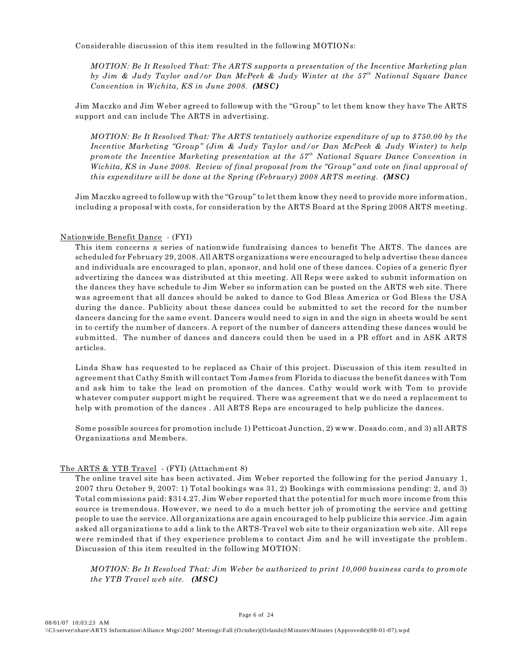Considerable discussion of this item resulted in the following MOTIONs:

*MOTION: Be It Resolved That: The ARTS supports a presentation of the Incentive Marketing plan by Jim & Judy Taylor and/or Dan McPeek & Judy Winter at the 57<sup>th</sup> National Square Dance Convention in Wichita, KS in June 2008. (MSC)*

Jim Maczko and Jim Weber agreed to followup with the "Group" to let them know they have The ARTS support and can include The ARTS in advertising.

*MOTION: Be It Resolved That: The ARTS tentatively authorize expenditure of up to \$750.00 by the Incentive Marketing "Group" (Jim & Judy Taylor and/or Dan McPeek & Judy Winter) to help promote the Incentive Marketing presentation at the 57<sup>th</sup> National Square Dance Convention in Wichita, KS in June 2008. Review of final proposal from the "Group" and vote on final approval of this expenditure will be done at the Spring (February) 2008 ARTS meeting.* (*MSC*)

Jim Maczko agreed to followup with the "Group" to let them know they need to provide more information, including a proposal with costs, for consideration by the ARTS Board at the Spring 2008 ARTS meeting.

#### Nationwide Benefit Dance - (FYI)

This item concerns a series of nationwide fundraising dances to benefit The ARTS. The dances are scheduled for February 29, 2008. All ARTS organizations were encouraged to help advertise these dances and individuals are encouraged to plan, sponsor, and hold one of these dances. Copies of a generic flyer advertizing the dances was distributed at this meeting. All Reps were asked to submit information on the dances they have schedule to Jim Weber so information can be posted on the ARTS web site. There was agreement that all dances should be asked to dance to God Bless America or God Bless the USA during the dance. Publicity about these dances could be submitted to set the record for the number dancers dancing for the same event. Dancers would need to sign in and the sign in sheets would be sent in to certify the number of dancers. A report of the number of dancers attending these dances would be submitted. The number of dances and dancers could then be used in a PR effort and in ASK ARTS articles.

Linda Shaw has requested to be replaced as Chair of this project. Discussion of this item resulted in agreement that Cathy Smith will contact Tom James from Florida to discuss the benefit dances with Tom and ask him to take the lead on promotion of the dances. Cathy would work with Tom to provide whatever computer support might be required. There was agreement that we do need a replacement to help with promotion of the dances . All ARTS Reps are encouraged to help publicize the dances.

Some possible sources for promotion include 1) Petticoat Junction, 2) www. Dosado.com, and 3) all ARTS Organizations and Members.

#### The ARTS & YTB Travel - (FYI) (Attachment 8)

The online travel site has been activated. Jim Weber reported the following for the period January 1, 2007 thru October 9, 2007: 1) Total bookings was 31, 2) Bookings with commissions pending: 2, and 3) Total commissions paid: \$314.27. Jim Weber reported that the potential for much more income from this source is tremendous. However, we need to do a much better job of promoting the service and getting people to use the service. All organizations are again encouraged to help publicize this service. Jim again asked all organizations to add a link to the ARTS-Travel web site to their organization web site. All reps were reminded that if they experience problems to contact Jim and he will investigate the problem. Discussion of this item resulted in the following MOTION:

*MOTION: Be It Resolved That: Jim Weber be authorized to print 10,000 business cards to promote the YTB Travel web site. (MSC)*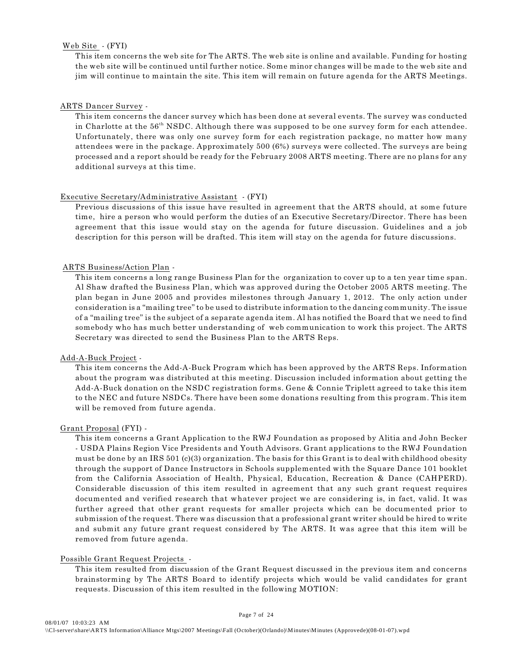#### Web Site - (FYI)

This item concerns the web site for The ARTS. The web site is online and available. Funding for hosting the web site will be continued until further notice. Some minor changes will be made to the web site and jim will continue to maintain the site. This item will remain on future agenda for the ARTS Meetings.

#### ARTS Dancer Survey -

This item concerns the dancer survey which has been done at several events. The survey was conducted in Charlotte at the  $56<sup>th</sup>$  NSDC. Although there was supposed to be one survey form for each attendee. Unfortunately, there was only one survey form for each registration package, no matter how many attendees were in the package. Approximately 500 (6%) surveys were collected. The surveys are being processed and a report should be ready for the February 2008 ARTS meeting. There are no plans for any additional surveys at this time.

#### Executive Secretary/Administrative Assistant - (FYI)

Previous discussions of this issue have resulted in agreement that the ARTS should, at some future time, hire a person who would perform the duties of an Executive Secretary/Director. There has been agreement that this issue would stay on the agenda for future discussion. Guidelines and a job description for this person will be drafted. This item will stay on the agenda for future discussions.

#### ARTS Business/Action Plan -

This item concerns a long range Business Plan for the organization to cover up to a ten year time span. Al Shaw drafted the Business Plan, which was approved during the October 2005 ARTS meeting. The plan began in June 2005 and provides milestones through January 1, 2012. The only action under consideration is a "mailing tree" to be used to distribute information to the dancing community. The issue of a "mailing tree" is the subject of a separate agenda item. Al has notified the Board that we need to find somebody who has much better understanding of web communication to work this project. The ARTS Secretary was directed to send the Business Plan to the ARTS Reps.

#### Add-A-Buck Project -

This item concerns the Add-A-Buck Program which has been approved by the ARTS Reps. Information about the program was distributed at this meeting. Discussion included information about getting the Add-A-Buck donation on the NSDC registration forms. Gene & Connie Triplett agreed to take this item to the NEC and future NSDCs. There have been some donations resulting from this program. This item will be removed from future agenda.

#### Grant Proposal (FYI) -

This item concerns a Grant Application to the RWJ Foundation as proposed by Alitia and John Becker - USDA Plains Region Vice Presidents and Youth Advisors. Grant applications to the RWJ Foundation must be done by an IRS 501 (c)(3) organization. The basis for this Grant is to deal with childhood obesity through the support of Dance Instructors in Schools supplemented with the Square Dance 101 booklet from the California Association of Health, Physical, Education, Recreation & Dance (CAHPERD). Considerable discussion of this item resulted in agreement that any such grant request requires documented and verified research that whatever project we are considering is, in fact, valid. It was further agreed that other grant requests for smaller projects which can be documented prior to submission of the request. There was discussion that a professional grant writer should be hired to write and submit any future grant request considered by The ARTS. It was agree that this item will be removed from future agenda.

#### Possible Grant Request Projects -

 This item resulted from discussion of the Grant Request discussed in the previous item and concerns brainstorming by The ARTS Board to identify projects which would be valid candidates for grant requests. Discussion of this item resulted in the following MOTION: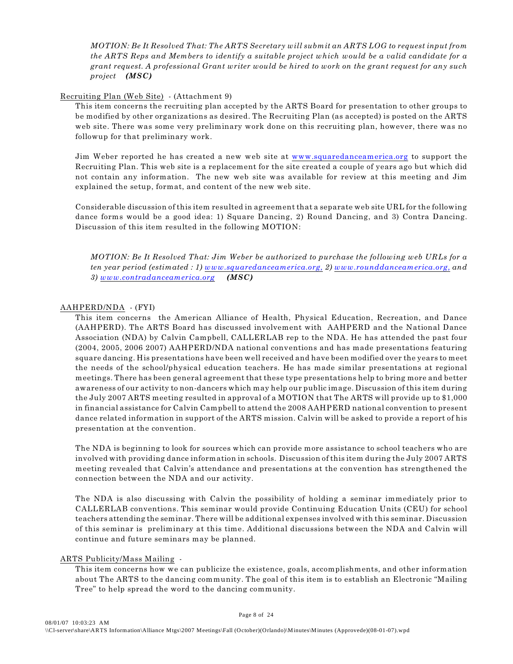*MOTION: Be It Resolved That: The ARTS Secretary will submit an ARTS LOG to request input from the ARTS Reps and Members to identify a suitable project which would be a valid candidate for a grant request. A professional Grant writer would be hired to work on the grant request for any such project (MSC)*

#### Recruiting Plan (Web Site) - (Attachment 9)

This item concerns the recruiting plan accepted by the ARTS Board for presentation to other groups to be modified by other organizations as desired. The Recruiting Plan (as accepted) is posted on the ARTS web site. There was some very preliminary work done on this recruiting plan, however, there was no followup for that preliminary work.

Jim Weber reported he has created a new web site at [www.squaredanceamerica.org](http://www.squaredanceamerica.org) to support the Recruiting Plan. This web site is a replacement for the site created a couple of years ago but which did not contain any information. The new web site was available for review at this meeting and Jim explained the setup, format, and content of the new web site.

Considerable discussion of this item resulted in agreement that a separate web site URL for the following dance forms would be a good idea: 1) Square Dancing, 2) Round Dancing, and 3) Contra Dancing. Discussion of this item resulted in the following MOTION:

*MOTION: Be It Resolved That: Jim Weber be authorized to purchase the following web URLs for a ten year period (estimated : 1) [www.squaredanceamerica.org,](http://www.squaredanceamerica.org,) 2) [www.rounddanceamerica.org,](http://www.rounddanceamerica.org,) and 3) [www.contradanceamerica.org](http://www.contradanceamerica.org) (MSC)*

#### AAHPERD/NDA - (FYI)

This item concerns the American Alliance of Health, Physical Education, Recreation, and Dance (AAHPERD). The ARTS Board has discussed involvement with AAHPERD and the National Dance Association (NDA) by Calvin Campbell, CALLERLAB rep to the NDA. He has attended the past four (2004, 2005, 2006 2007) AAHPERD/NDA national conventions and has made presentations featuring square dancing. His presentations have been well received and have been modified over the years to meet the needs of the school/physical education teachers. He has made similar presentations at regional meetings. There has been general agreement that these type presentations help to bring more and better awareness of our activity to non-dancers which may help our public image. Discussion of this item during the July 2007 ARTS meeting resulted in approval of a MOTION that The ARTS will provide up to \$1,000 in financial assistance for Calvin Campbell to attend the 2008 AAHPERD national convention to present dance related information in support of the ARTS mission. Calvin will be asked to provide a report of his presentation at the convention.

The NDA is beginning to look for sources which can provide more assistance to school teachers who are involved with providing dance information in schools. Discussion of this item during the July 2007 ARTS meeting revealed that Calvin's attendance and presentations at the convention has strengthened the connection between the NDA and our activity.

The NDA is also discussing with Calvin the possibility of holding a seminar immediately prior to CALLERLAB conventions. This seminar would provide Continuing Education Units (CEU) for school teachers attending the seminar. There will be additional expenses involved with this seminar. Discussion of this seminar is preliminary at this time. Additional discussions between the NDA and Calvin will continue and future seminars may be planned.

#### ARTS Publicity/Mass Mailing -

This item concerns how we can publicize the existence, goals, accomplishments, and other information about The ARTS to the dancing community. The goal of this item is to establish an Electronic "Mailing Tree" to help spread the word to the dancing community.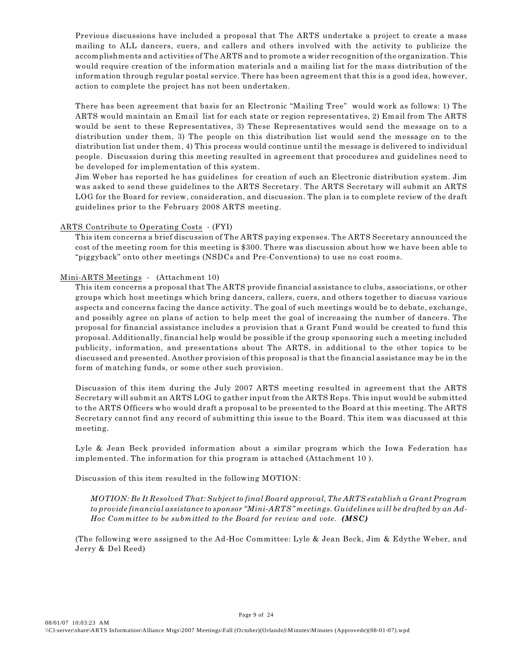Previous discussions have included a proposal that The ARTS undertake a project to create a mass mailing to ALL dancers, cuers, and callers and others involved with the activity to publicize the accomplishments and activities of The ARTS and to promote a wider recognition of the organization. This would require creation of the information materials and a mailing list for the mass distribution of the information through regular postal service. There has been agreement that this is a good idea, however, action to complete the project has not been undertaken.

There has been agreement that basis for an Electronic "Mailing Tree" would work as follows: 1) The ARTS would maintain an Email list for each state or region representatives, 2) Email from The ARTS would be sent to these Representatives, 3) These Representatives would send the message on to a distribution under them, 3) The people on this distribution list would send the message on to the distribution list under them, 4) This process would continue until the message is delivered to individual people. Discussion during this meeting resulted in agreement that procedures and guidelines need to be developed for implementation of this system.

Jim Weber has reported he has guidelines for creation of such an Electronic distribution system. Jim was asked to send these guidelines to the ARTS Secretary. The ARTS Secretary will submit an ARTS LOG for the Board for review, consideration, and discussion. The plan is to complete review of the draft guidelines prior to the February 2008 ARTS meeting.

#### ARTS Contribute to Operating Costs - (FYI)

This item concerns a brief discussion of The ARTS paying expenses. The ARTS Secretary announced the cost of the meeting room for this meeting is \$300. There was discussion about how we have been able to "piggyback" onto other meetings (NSDCs and Pre-Conventions) to use no cost rooms.

#### Mini-ARTS Meetings - (Attachment 10)

This item concerns a proposal that The ARTS provide financial assistance to clubs, associations, or other groups which host meetings which bring dancers, callers, cuers, and others together to discuss various aspects and concerns facing the dance activity. The goal of such meetings would be to debate, exchange, and possibly agree on plans of action to help meet the goal of increasing the number of dancers. The proposal for financial assistance includes a provision that a Grant Fund would be created to fund this proposal. Additionally, financial help would be possible if the group sponsoring such a meeting included publicity, information, and presentations about The ARTS, in additional to the other topics to be discussed and presented. Another provision of this proposal is that the financial assistance may be in the form of matching funds, or some other such provision.

Discussion of this item during the July 2007 ARTS meeting resulted in agreement that the ARTS Secretary will submit an ARTS LOG to gather input from the ARTS Reps. This input would be submitted to the ARTS Officers who would draft a proposal to be presented to the Board at this meeting. The ARTS Secretary cannot find any record of submitting this issue to the Board. This item was discussed at this meeting.

Lyle & Jean Beck provided information about a similar program which the Iowa Federation has implemented. The information for this program is attached (Attachment 10 ).

Discussion of this item resulted in the following MOTION:

*MOTION: Be It Resolved That: Subject to final Board approval, The ARTS establish a Grant Program to provide financial assistance to sponsor "Mini-ARTS" meetings. Guidelines will be drafted by an Ad-Hoc Committee to be submitted to the Board for review and vote. (MSC)*

(The following were assigned to the Ad-Hoc Committee: Lyle & Jean Beck, Jim & Edythe Weber, and Jerry & Del Reed)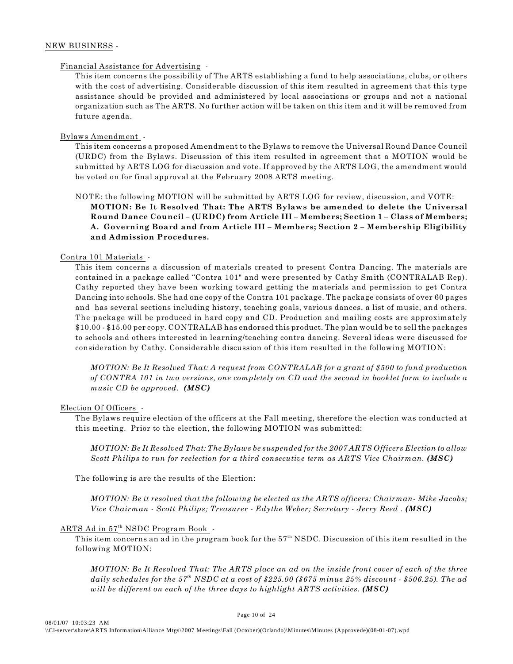#### NEW BUSINESS -

#### Financial Assistance for Advertising -

This item concerns the possibility of The ARTS establishing a fund to help associations, clubs, or others with the cost of advertising. Considerable discussion of this item resulted in agreement that this type assistance should be provided and administered by local associations or groups and not a national organization such as The ARTS. No further action will be taken on this item and it will be removed from future agenda.

#### Bylaws Amendment -

This item concerns a proposed Amendment to the Bylaws to remove the Universal Round Dance Council (URDC) from the Bylaws. Discussion of this item resulted in agreement that a MOTION would be submitted by ARTS LOG for discussion and vote. If approved by the ARTS LOG, the amendment would be voted on for final approval at the February 2008 ARTS meeting.

NOTE: the following MOTION will be submitted by ARTS LOG for review, discussion, and VOTE:

**MOTION: Be It Resolved That: The ARTS Bylaws be amended to delete the Universal Round Dance Council – (URDC) from Article III – Members; Section 1 – Class of Members; A. Governing Board and from Article III – Members; Section 2 – Membership Eligibility and Admission Procedures.**

#### Contra 101 Materials -

This item concerns a discussion of materials created to present Contra Dancing. The materials are contained in a package called "Contra 101" and were presented by Cathy Smith (CONTRALAB Rep). Cathy reported they have been working toward getting the materials and permission to get Contra Dancing into schools. She had one copy of the Contra 101 package. The package consists of over 60 pages and has several sections including history, teaching goals, various dances, a list of music, and others. The package will be produced in hard copy and CD. Production and mailing costs are approximately \$10.00 - \$15.00 per copy. CONTRALAB has endorsed this product. The plan would be to sell the packages to schools and others interested in learning/teaching contra dancing. Several ideas were discussed for consideration by Cathy. Considerable discussion of this item resulted in the following MOTION:

*MOTION: Be It Resolved That: A request from CONTRALAB for a grant of \$500 to fund production of CONTRA 101 in two versions, one completely on CD and the second in booklet form to include a music CD be approved. (MSC)*

#### Election Of Officers -

The Bylaws require election of the officers at the Fall meeting, therefore the election was conducted at this meeting. Prior to the election, the following MOTION was submitted:

*MOTION: Be It Resolved That: The Bylaws be suspended for the 2007 ARTS Officers Election to allow Scott Philips to run for reelection for a third consecutive term as ARTS Vice Chairman. (MSC)*

The following is are the results of the Election:

*MOTION: Be it resolved that the following be elected as the ARTS officers: Chairman- Mike Jacobs; Vice Chairman - Scott Philips; Treasurer - Edythe Weber; Secretary - Jerry Reed . (MSC)* 

#### ARTS Ad in 57<sup>th</sup> NSDC Program Book -

This item concerns an ad in the program book for the  $57<sup>th</sup>$  NSDC. Discussion of this item resulted in the following MOTION:

*MOTION: Be It Resolved That: The ARTS place an ad on the inside front cover of each of the three* daily schedules for the 57<sup>th</sup> NSDC at a cost of  $$225.00$  ( $$675$  minus  $25\%$  discount -  $$506.25$ ). The ad *will be different on each of the three days to highlight ARTS activities. (MSC)*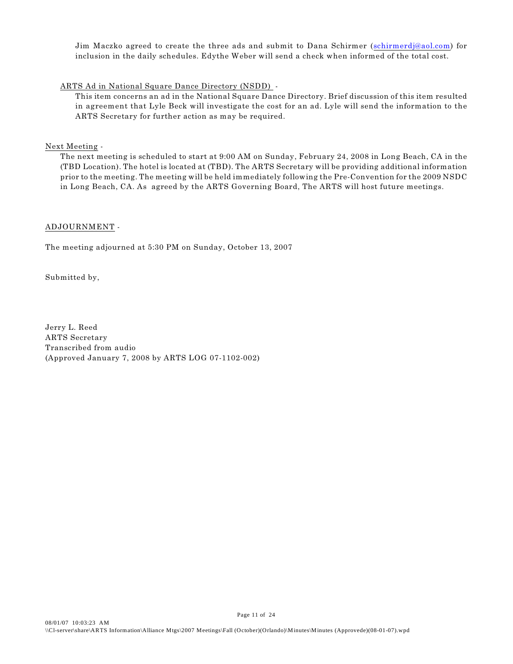Jim Maczko agreed to create the three ads and submit to Dana Schirmer [\(schirmerdj@aol.com](mailto:schirmerdj@aol.com)) for inclusion in the daily schedules. Edythe Weber will send a check when informed of the total cost.

#### ARTS Ad in National Square Dance Directory (NSDD) -

This item concerns an ad in the National Square Dance Directory. Brief discussion of this item resulted in agreement that Lyle Beck will investigate the cost for an ad. Lyle will send the information to the ARTS Secretary for further action as may be required.

#### Next Meeting -

The next meeting is scheduled to start at 9:00 AM on Sunday, February 24, 2008 in Long Beach, CA in the (TBD Location). The hotel is located at (TBD). The ARTS Secretary will be providing additional information prior to the meeting. The meeting will be held immediately following the Pre-Convention for the 2009 NSDC in Long Beach, CA. As agreed by the ARTS Governing Board, The ARTS will host future meetings.

#### ADJOURNMENT -

The meeting adjourned at 5:30 PM on Sunday, October 13, 2007

Submitted by,

Jerry L. Reed ARTS Secretary Transcribed from audio (Approved January 7, 2008 by ARTS LOG 07-1102-002)

Page 11 of 24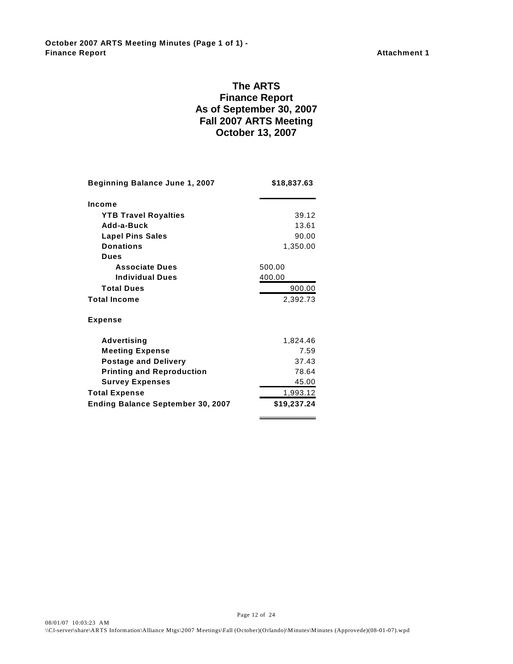**October 2007 ARTS Meeting Minutes (Page 1 of 1) - Finance Report Attachment 1** 

### **The ARTS Finance Report As of September 30, 2007 Fall 2007 ARTS Meeting October 13, 2007**

| <b>Beginning Balance June 1, 2007</b>    | \$18,837.63 |  |
|------------------------------------------|-------------|--|
| Income                                   |             |  |
| <b>YTB Travel Royalties</b>              | 39.12       |  |
| Add-a-Buck                               | 13.61       |  |
| <b>Lapel Pins Sales</b>                  | 90.00       |  |
| <b>Donations</b>                         | 1,350.00    |  |
| Dues                                     |             |  |
| <b>Associate Dues</b>                    | 500.00      |  |
| <b>Individual Dues</b>                   | 400.00      |  |
| <b>Total Dues</b>                        | 900.00      |  |
| <b>Total Income</b>                      | 2,392.73    |  |
| <b>Expense</b>                           |             |  |
| <b>Advertising</b>                       | 1,824.46    |  |
| <b>Meeting Expense</b>                   | 7.59        |  |
| <b>Postage and Delivery</b>              | 37.43       |  |
| <b>Printing and Reproduction</b>         | 78.64       |  |
| <b>Survey Expenses</b>                   | 45.00       |  |
| <b>Total Expense</b>                     | 1,993.12    |  |
| <b>Ending Balance September 30, 2007</b> | \$19,237.24 |  |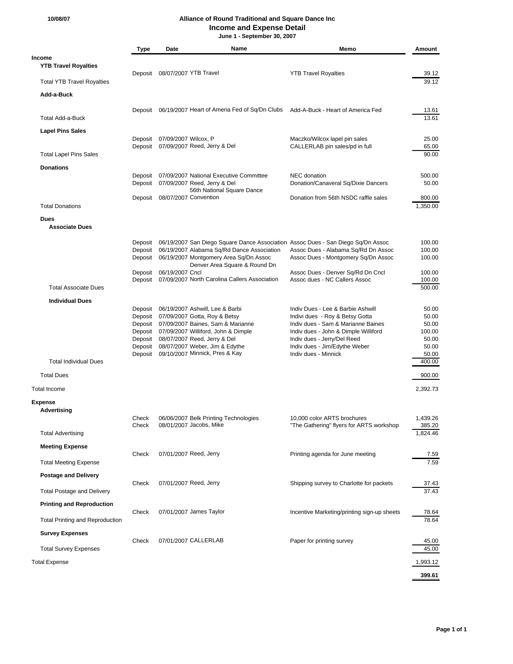#### **10/08/07 Alliance of Round Traditional and Square Dance Inc Income and Expense Detail**

 **June 1 - September 30, 2007**

|                                        | <b>Type</b>        | Date                         | Name                                                                                                                          | Memo                                                                                     | Amount             |
|----------------------------------------|--------------------|------------------------------|-------------------------------------------------------------------------------------------------------------------------------|------------------------------------------------------------------------------------------|--------------------|
| Income<br><b>YTB Travel Royalties</b>  |                    |                              | Deposit 08/07/2007 YTB Travel                                                                                                 | <b>YTB Travel Royalties</b>                                                              | 39.12              |
| <b>Total YTB Travel Royalties</b>      |                    |                              |                                                                                                                               |                                                                                          | 39.12              |
| Add-a-Buck                             |                    |                              |                                                                                                                               |                                                                                          |                    |
| <b>Total Add-a-Buck</b>                |                    |                              | Deposit 06/19/2007 Heart of Ameria Fed of Sq/Dn Clubs Add-A-Buck - Heart of America Fed                                       |                                                                                          | 13.61<br>13.61     |
| <b>Lapel Pins Sales</b>                |                    | Deposit 07/09/2007 Wilcox, P |                                                                                                                               |                                                                                          | 25.00              |
| <b>Total Lapel Pins Sales</b>          |                    |                              | Deposit 07/09/2007 Reed, Jerry & Del                                                                                          | Maczko/Wilcox lapel pin sales<br>CALLERLAB pin sales/pd in full                          | 65.00<br>90.00     |
| <b>Donations</b>                       |                    |                              |                                                                                                                               |                                                                                          |                    |
|                                        | Deposit<br>Deposit |                              | 07/09/2007 National Executive Committee<br>07/09/2007 Reed, Jerry & Del<br>56th National Square Dance                         | NEC donation<br>Donation/Canaveral Sq/Dixie Dancers                                      | 500.00<br>50.00    |
| <b>Total Donations</b>                 |                    |                              | Deposit 08/07/2007 Convention                                                                                                 | Donation from 56th NSDC raffle sales                                                     | 800.00<br>1,350.00 |
| <b>Dues</b>                            |                    |                              |                                                                                                                               |                                                                                          |                    |
| <b>Associate Dues</b>                  |                    |                              |                                                                                                                               |                                                                                          |                    |
|                                        |                    |                              |                                                                                                                               | Deposit 06/19/2007 San Diego Square Dance Association Assoc Dues - San Diego Sq/Dn Assoc | 100.00             |
|                                        | Deposit            |                              | Deposit 06/19/2007 Alabama Sq/Rd Dance Association<br>06/19/2007 Montgomery Area Sq/Dn Assoc<br>Denver Area Square & Round Dn | Assoc Dues - Alabama Sq/Rd Dn Assoc<br>Assoc Dues - Montgomery Sq/Dn Assoc               | 100.00<br>100.00   |
|                                        | Deposit            | 06/19/2007 Cncl              | Deposit 07/09/2007 North Carolina Callers Association                                                                         | Assoc Dues - Denver Sq/Rd Dn Cncl<br>Assoc dues - NC Callers Assoc                       | 100.00<br>100.00   |
| <b>Total Associate Dues</b>            |                    |                              |                                                                                                                               |                                                                                          | 500.00             |
| <b>Individual Dues</b>                 |                    |                              |                                                                                                                               |                                                                                          |                    |
|                                        | Deposit            |                              | Deposit 06/19/2007 Ashwill, Lee & Barbi<br>07/09/2007 Gotta, Roy & Betsy                                                      | Indiv Dues - Lee & Barbie Ashwill<br>Indivi dues - Roy & Betsy Gotta                     | 50.00<br>50.00     |
|                                        | Deposit<br>Deposit |                              | 07/09/2007 Baines, Sam & Marianne<br>07/09/2007 Williford, John & Dimple                                                      | Indiv dues - Sam & Marianne Baines<br>Indiv dues - John & Dimple Williford               | 50.00<br>100.00    |
|                                        | Deposit            |                              | 08/07/2007 Reed, Jerry & Del                                                                                                  | Indiv dues - Jerry/Del Reed                                                              | 50.00              |
|                                        | Deposit            |                              | 08/07/2007 Weber, Jim & Edythe<br>Deposit 09/10/2007 Minnick, Pres & Kay                                                      | Indiv dues - Jim/Edythe Weber<br>Indiv dues - Minnick                                    | 50.00<br>50.00     |
| <b>Total Individual Dues</b>           |                    |                              |                                                                                                                               |                                                                                          | 400.00             |
| <b>Total Dues</b>                      |                    |                              |                                                                                                                               |                                                                                          | 900.00             |
| <b>Total Income</b>                    |                    |                              |                                                                                                                               |                                                                                          | 2.392.73           |
| Expense                                |                    |                              |                                                                                                                               |                                                                                          |                    |
| Advertising                            | Check              |                              | 06/06/2007 Belk Printing Technologies                                                                                         | 10,000 color ARTS brochures                                                              | 1,439.26           |
|                                        | Check              |                              | 08/01/2007 Jacobs, Mike                                                                                                       | "The Gathering" flyers for ARTS workshop                                                 | 385.20<br>1.824.46 |
| <b>Total Advertising</b>               |                    |                              |                                                                                                                               |                                                                                          |                    |
| <b>Meeting Expense</b>                 | Check              |                              | 07/01/2007 Reed, Jerry                                                                                                        | Printing agenda for June meeting                                                         | 7.59               |
| <b>Total Meeting Expense</b>           |                    |                              |                                                                                                                               |                                                                                          | 7.59               |
| <b>Postage and Delivery</b>            | Check              |                              | 07/01/2007 Reed, Jerry                                                                                                        | Shipping survey to Charlotte for packets                                                 | 37.43              |
| <b>Total Postage and Delivery</b>      |                    |                              |                                                                                                                               |                                                                                          | 37.43              |
| <b>Printing and Reproduction</b>       | Check              |                              | 07/01/2007 James Taylor                                                                                                       | Incentive Marketing/printing sign-up sheets                                              | 78.64              |
| <b>Total Printing and Reproduction</b> |                    |                              |                                                                                                                               |                                                                                          | 78.64              |
| <b>Survey Expenses</b>                 |                    |                              | 07/01/2007 CALLERLAB                                                                                                          |                                                                                          |                    |
| <b>Total Survey Expenses</b>           | Check              |                              |                                                                                                                               | Paper for printing survey                                                                | 45.00<br>45.00     |
| <b>Total Expense</b>                   |                    |                              |                                                                                                                               |                                                                                          | 1,993.12           |
|                                        |                    |                              |                                                                                                                               |                                                                                          | 399.61             |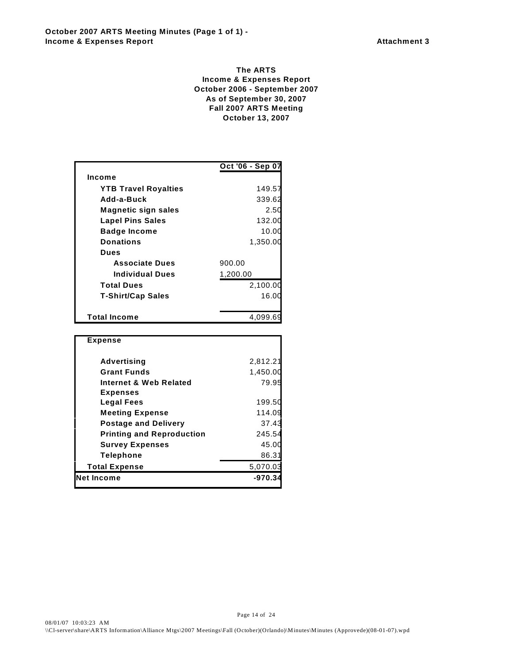#### **The ARTS Income & Expenses Report October 2006 - September 2007 As of September 30, 2007 Fall 2007 ARTS Meeting October 13, 2007**

|                             | Oct '06 - Sep 07 |
|-----------------------------|------------------|
| Income                      |                  |
| <b>YTB Travel Royalties</b> | 149.57           |
| Add-a-Buck                  | 339.62           |
| <b>Magnetic sign sales</b>  | 2.50             |
| <b>Lapel Pins Sales</b>     | 132.00           |
| <b>Badge Income</b>         | 10.00            |
| <b>Donations</b>            | 1,350.00         |
| <b>Dues</b>                 |                  |
| <b>Associate Dues</b>       | 900.00           |
| <b>Individual Dues</b>      | 1,200.00         |
| <b>Total Dues</b>           | 2,100.00         |
| <b>T-Shirt/Cap Sales</b>    | 16.0             |
|                             |                  |
| <b>Total Income</b>         | 4.099.69         |
|                             |                  |

| <b>Expense</b>                   |          |
|----------------------------------|----------|
| Advertising                      | 2,812.21 |
| <b>Grant Funds</b>               | 1,450.00 |
| Internet & Web Related           | 79.95    |
| <b>Expenses</b>                  |          |
| <b>Legal Fees</b>                | 199.50   |
| <b>Meeting Expense</b>           | 114.09   |
| <b>Postage and Delivery</b>      | 37.43    |
| <b>Printing and Reproduction</b> | 245.54   |
| <b>Survey Expenses</b>           | 45.00    |
| <b>Telephone</b>                 | 86.31    |
| <b>Total Expense</b>             | 5,070.03 |
| <b>Net Income</b>                | -970.    |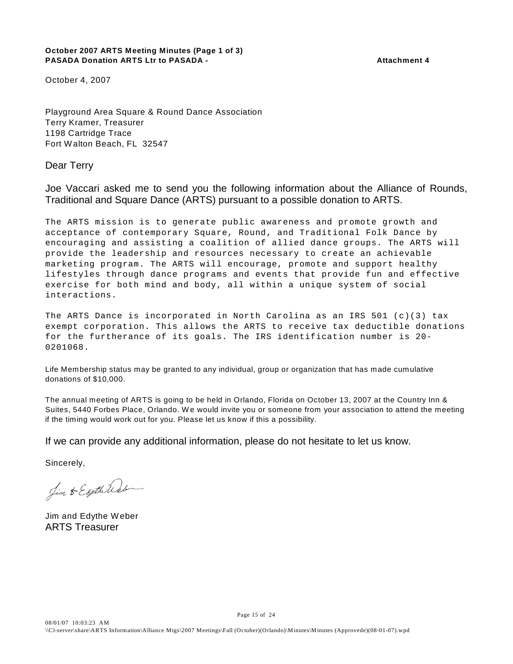#### **October 2007 ARTS Meeting Minutes (Page 1 of 3)** PASADA Donation ARTS Ltr to PASADA - Attachment 4

October 4, 2007

Playground Area Square & Round Dance Association Terry Kramer, Treasurer 1198 Cartridge Trace Fort Walton Beach, FL 32547

Dear Terry

Joe Vaccari asked me to send you the following information about the Alliance of Rounds, Traditional and Square Dance (ARTS) pursuant to a possible donation to ARTS.

The ARTS mission is to generate public awareness and promote growth and acceptance of contemporary Square, Round, and Traditional Folk Dance by encouraging and assisting a coalition of allied dance groups. The ARTS will provide the leadership and resources necessary to create an achievable marketing program. The ARTS will encourage, promote and support healthy lifestyles through dance programs and events that provide fun and effective exercise for both mind and body, all within a unique system of social interactions.

The ARTS Dance is incorporated in North Carolina as an IRS  $501$  (c)(3) tax exempt corporation. This allows the ARTS to receive tax deductible donations for the furtherance of its goals. The IRS identification number is 20- 0201068.

Life Membership status may be granted to any individual, group or organization that has made cumulative donations of \$10,000.

The annual meeting of ARTS is going to be held in Orlando, Florida on October 13, 2007 at the Country Inn & Suites, 5440 Forbes Place, Orlando. W e would invite you or someone from your association to attend the meeting if the timing would work out for you. Please let us know if this a possibility.

If we can provide any additional information, please do not hesitate to let us know.

Sincerely,

Jim & Esythetector

Jim and Edythe Weber ARTS Treasurer

Page 15 of 24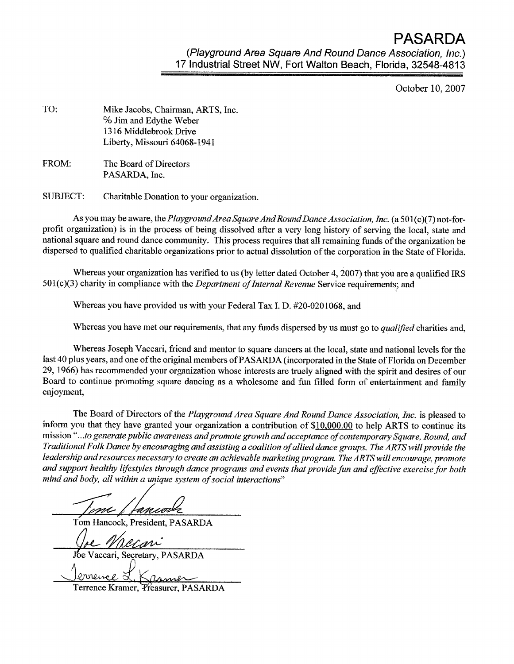**PASARDA** 

(Playground Area Square And Round Dance Association, Inc.) 17 Industrial Street NW, Fort Walton Beach, Florida, 32548-4813

October 10, 2007

| TO: | Mike Jacobs, Chairman, ARTS, Inc. |
|-----|-----------------------------------|
|     | % Jim and Edythe Weber            |
|     | 1316 Middlebrook Drive            |
|     | Liberty, Missouri 64068-1941      |
|     |                                   |

FROM: The Board of Directors PASARDA, Inc.

**SUBJECT:** Charitable Donation to your organization.

As you may be aware, the Playground Area Square And Round Dance Association, Inc. (a 501(c)(7) not-forprofit organization) is in the process of being dissolved after a very long history of serving the local, state and national square and round dance community. This process requires that all remaining funds of the organization be dispersed to qualified charitable organizations prior to actual dissolution of the corporation in the State of Florida.

Whereas your organization has verified to us (by letter dated October 4, 2007) that you are a qualified IRS 501(c)(3) charity in compliance with the *Department of Internal Revenue* Service requirements; and

Whereas you have provided us with your Federal Tax I. D. #20-0201068, and

Whereas you have met our requirements, that any funds dispersed by us must go to qualified charities and,

Whereas Joseph Vaccari, friend and mentor to square dancers at the local, state and national levels for the last 40 plus years, and one of the original members of PASARDA (incorporated in the State of Florida on December 29, 1966) has recommended your organization whose interests are truely aligned with the spirit and desires of our Board to continue promoting square dancing as a wholesome and fun filled form of entertainment and family enjoyment,

The Board of Directors of the Playground Area Square And Round Dance Association, Inc. is pleased to inform you that they have granted your organization a contribution of \$10,000.00 to help ARTS to continue its mission "...to generate public awareness and promote growth and acceptance of contemporary Square, Round, and Traditional Folk Dance by encouraging and assisting a coalition of allied dance groups. The ARTS will provide the leadership and resources necessary to create an achievable marketing program. The ARTS will encourage, promote and support healthy lifestyles through dance programs and events that provide fun and effective exercise for both mind and body, all within a unique system of social interactions"

m / fancode

Tom Hancock, President, PASARDA

exar"

accari, Secretary, PASARDA

Terrence Kramer, *Preasurer*, PASARDA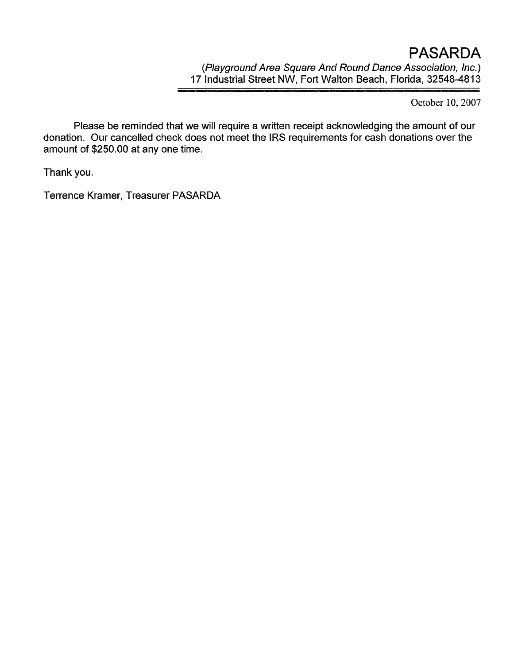October 10, 2007

Please be reminded that we will require a written receipt acknowledging the amount of our donation. Our cancelled check does not meet the IRS requirements for cash donations over the amount of \$250.00 at any one time.

Thank you.

Terrence Kramer, Treasurer PASARDA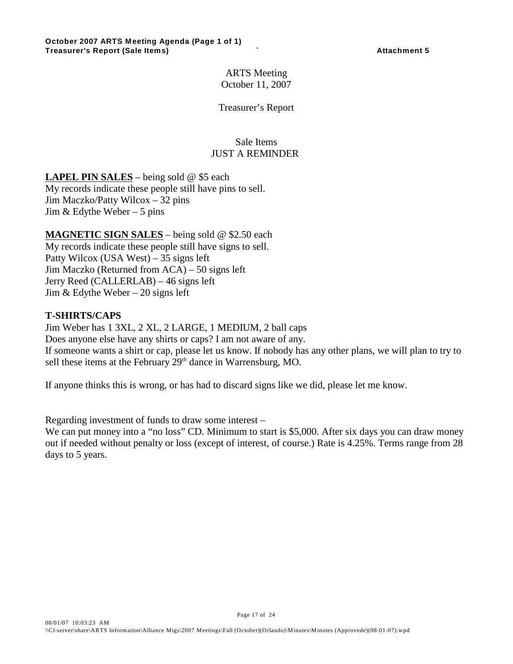ARTS Meeting October 11, 2007

Treasurer's Report

#### Sale Items JUST A REMINDER

**LAPEL PIN SALES** – being sold @ \$5 each

My records indicate these people still have pins to sell. Jim Maczko/Patty Wilcox – 32 pins Jim  $&$  Edythe Weber – 5 pins

**MAGNETIC SIGN SALES** – being sold @ \$2.50 each My records indicate these people still have signs to sell. Patty Wilcox (USA West) – 35 signs left Jim Maczko (Returned from ACA) – 50 signs left Jerry Reed (CALLERLAB) – 46 signs left Jim  $&$  Edythe Weber – 20 signs left

### **T-SHIRTS/CAPS**

Jim Weber has 1 3XL, 2 XL, 2 LARGE, 1 MEDIUM, 2 ball caps Does anyone else have any shirts or caps? I am not aware of any. If someone wants a shirt or cap, please let us know. If nobody has any other plans, we will plan to try to sell these items at the February  $29<sup>th</sup>$  dance in Warrensburg, MO.

If anyone thinks this is wrong, or has had to discard signs like we did, please let me know.

Regarding investment of funds to draw some interest –

We can put money into a "no loss" CD. Minimum to start is \$5,000. After six days you can draw money out if needed without penalty or loss (except of interest, of course.) Rate is 4.25%. Terms range from 28 days to 5 years.

Page 17 of 24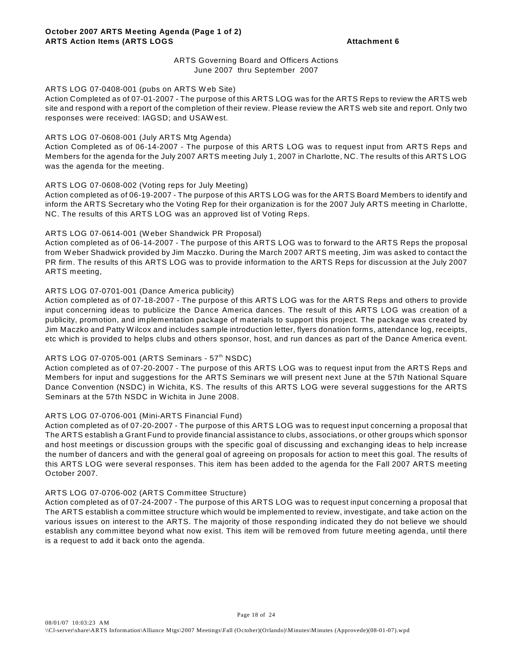#### ARTS Governing Board and Officers Actions June 2007 thru September 2007

#### ARTS LOG 07-0408-001 (pubs on ARTS W eb Site)

Action Completed as of 07-01-2007 - The purpose of this ARTS LOG was for the ARTS Reps to review the ARTS web site and respond with a report of the completion of their review. Please review the ARTS web site and report. Only two responses were received: IAGSD; and USAW est.

#### ARTS LOG 07-0608-001 (July ARTS Mtg Agenda)

Action Completed as of 06-14-2007 - The purpose of this ARTS LOG was to request input from ARTS Reps and Members for the agenda for the July 2007 ARTS meeting July 1, 2007 in Charlotte, NC. The results of this ARTS LOG was the agenda for the meeting.

#### ARTS LOG 07-0608-002 (Voting reps for July Meeting)

Action completed as of 06-19-2007 - The purpose of this ARTS LOG was for the ARTS Board Members to identify and inform the ARTS Secretary who the Voting Rep for their organization is for the 2007 July ARTS meeting in Charlotte, NC. The results of this ARTS LOG was an approved list of Voting Reps.

#### ARTS LOG 07-0614-001 (W eber Shandwick PR Proposal)

Action completed as of 06-14-2007 - The purpose of this ARTS LOG was to forward to the ARTS Reps the proposal from W eber Shadwick provided by Jim Maczko. During the March 2007 ARTS meeting, Jim was asked to contact the PR firm. The results of this ARTS LOG was to provide information to the ARTS Reps for discussion at the July 2007 ARTS meeting,

#### ARTS LOG 07-0701-001 (Dance America publicity)

Action completed as of 07-18-2007 - The purpose of this ARTS LOG was for the ARTS Reps and others to provide input concerning ideas to publicize the Dance America dances. The result of this ARTS LOG was creation of a publicity, promotion, and implementation package of materials to support this project. The package was created by Jim Maczko and Patty W ilcox and includes sample introduction letter, flyers donation forms, attendance log, receipts, etc which is provided to helps clubs and others sponsor, host, and run dances as part of the Dance America event.

#### ARTS LOG 07-0705-001 (ARTS Seminars -  $57<sup>th</sup>$  NSDC)

Action completed as of 07-20-2007 - The purpose of this ARTS LOG was to request input from the ARTS Reps and Members for input and suggestions for the ARTS Seminars we will present next June at the 57th National Square Dance Convention (NSDC) in W ichita, KS. The results of this ARTS LOG were several suggestions for the ARTS Seminars at the 57th NSDC in W ichita in June 2008.

#### ARTS LOG 07-0706-001 (Mini-ARTS Financial Fund)

Action completed as of 07-20-2007 - The purpose of this ARTS LOG was to request input concerning a proposal that The ARTS establish a Grant Fund to provide financial assistance to clubs, associations, or other groups which sponsor and host meetings or discussion groups with the specific goal of discussing and exchanging ideas to help increase the number of dancers and with the general goal of agreeing on proposals for action to meet this goal. The results of this ARTS LOG were several responses. This item has been added to the agenda for the Fall 2007 ARTS meeting October 2007.

#### ARTS LOG 07-0706-002 (ARTS Committee Structure)

Action completed as of 07-24-2007 - The purpose of this ARTS LOG was to request input concerning a proposal that The ARTS establish a committee structure which would be implemented to review, investigate, and take action on the various issues on interest to the ARTS. The majority of those responding indicated they do not believe we should establish any committee beyond what now exist. This item will be removed from future meeting agenda, until there is a request to add it back onto the agenda.

Page 18 of 24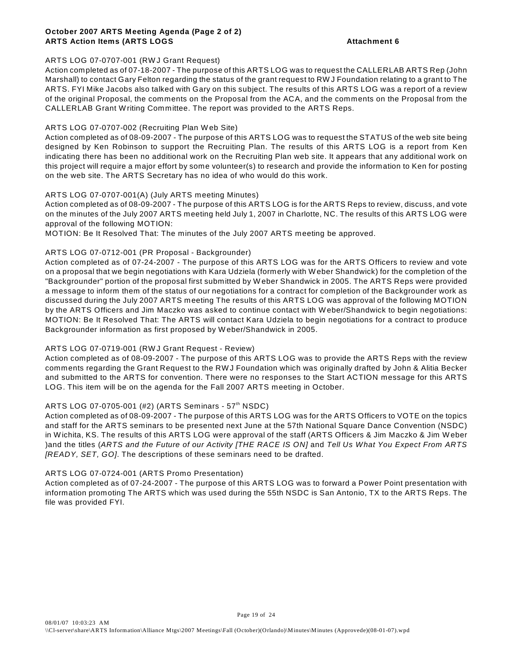#### **October 2007 ARTS Meeting Agenda (Page 2 of 2) ARTS Action Items (ARTS LOGS And Action Action Action Action Action Action Action Action Action Action Action**

#### ARTS LOG 07-0707-001 (RWJ Grant Request)

Action completed as of 07-18-2007 - The purpose of this ARTS LOG was to request the CALLERLAB ARTS Rep (John Marshall) to contact Gary Felton regarding the status of the grant request to RW J Foundation relating to a grant to The ARTS. FYI Mike Jacobs also talked with Gary on this subject. The results of this ARTS LOG was a report of a review of the original Proposal, the comments on the Proposal from the ACA, and the comments on the Proposal from the CALLERLAB Grant W riting Committee. The report was provided to the ARTS Reps.

#### ARTS LOG 07-0707-002 (Recruiting Plan W eb Site)

Action completed as of 08-09-2007 - The purpose of this ARTS LOG was to request the STATUS of the web site being designed by Ken Robinson to support the Recruiting Plan. The results of this ARTS LOG is a report from Ken indicating there has been no additional work on the Recruiting Plan web site. It appears that any additional work on this project will require a major effort by some volunteer(s) to research and provide the information to Ken for posting on the web site. The ARTS Secretary has no idea of who would do this work.

#### ARTS LOG 07-0707-001(A) (July ARTS meeting Minutes)

Action completed as of 08-09-2007 - The purpose of this ARTS LOG is for the ARTS Reps to review, discuss, and vote on the minutes of the July 2007 ARTS meeting held July 1, 2007 in Charlotte, NC. The results of this ARTS LOG were approval of the following MOTION:

MOTION: Be It Resolved That: The minutes of the July 2007 ARTS meeting be approved.

#### ARTS LOG 07-0712-001 (PR Proposal - Backgrounder)

Action completed as of 07-24-2007 - The purpose of this ARTS LOG was for the ARTS Officers to review and vote on a proposal that we begin negotiations with Kara Udziela (formerly with W eber Shandwick) for the completion of the "Backgrounder" portion of the proposal first submitted by W eber Shandwick in 2005. The ARTS Reps were provided a message to inform them of the status of our negotiations for a contract for completion of the Backgrounder work as discussed during the July 2007 ARTS meeting The results of this ARTS LOG was approval of the following MOTION by the ARTS Officers and Jim Maczko was asked to continue contact with W eber/Shandwick to begin negotiations: MOTION: Be It Resolved That: The ARTS will contact Kara Udziela to begin negotiations for a contract to produce Backgrounder information as first proposed by W eber/Shandwick in 2005.

#### ARTS LOG 07-0719-001 (RW J Grant Request - Review)

Action completed as of 08-09-2007 - The purpose of this ARTS LOG was to provide the ARTS Reps with the review comments regarding the Grant Request to the RW J Foundation which was originally drafted by John & Alitia Becker and submitted to the ARTS for convention. There were no responses to the Start ACTION message for this ARTS LOG. This item will be on the agenda for the Fall 2007 ARTS meeting in October.

#### ARTS LOG 07-0705-001 (#2) (ARTS Seminars - 57<sup>th</sup> NSDC)

Action completed as of 08-09-2007 - The purpose of this ARTS LOG was for the ARTS Officers to VOTE on the topics and staff for the ARTS seminars to be presented next June at the 57th National Square Dance Convention (NSDC) in W ichita, KS. The results of this ARTS LOG were approval of the staff (ARTS Officers & Jim Maczko & Jim W eber )and the titles (*ARTS and the Future of our Activity [THE RACE IS ON]* and *Tell Us What You Expect From ARTS [READY, SET, GO]*. The descriptions of these seminars need to be drafted.

#### ARTS LOG 07-0724-001 (ARTS Promo Presentation)

Action completed as of 07-24-2007 - The purpose of this ARTS LOG was to forward a Power Point presentation with information promoting The ARTS which was used during the 55th NSDC is San Antonio, TX to the ARTS Reps. The file was provided FYI.

Page 19 of 24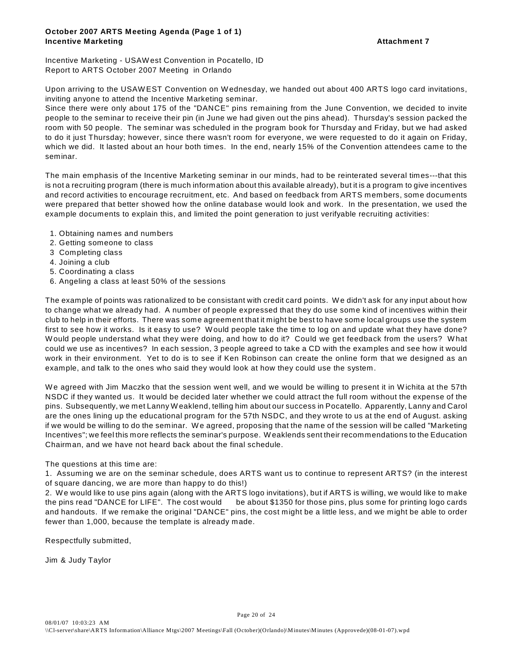#### **October 2007 ARTS Meeting Agenda (Page 1 of 1) Incentive Marketing Attachment 7 Incentive Marketing**

Incentive Marketing - USAW est Convention in Pocatello, ID Report to ARTS October 2007 Meeting in Orlando

Upon arriving to the USAW EST Convention on W ednesday, we handed out about 400 ARTS logo card invitations, inviting anyone to attend the Incentive Marketing seminar.

Since there were only about 175 of the "DANCE" pins remaining from the June Convention, we decided to invite people to the seminar to receive their pin (in June we had given out the pins ahead). Thursday's session packed the room with 50 people. The seminar was scheduled in the program book for Thursday and Friday, but we had asked to do it just Thursday; however, since there wasn't room for everyone, we were requested to do it again on Friday, which we did. It lasted about an hour both times. In the end, nearly 15% of the Convention attendees came to the seminar.

The main emphasis of the Incentive Marketing seminar in our minds, had to be reinterated several times---that this is not a recruiting program (there is much information about this available already), but it is a program to give incentives and record activities to encourage recruitment, etc. And based on feedback from ARTS members, some documents were prepared that better showed how the online database would look and work. In the presentation, we used the example documents to explain this, and limited the point generation to just verifyable recruiting activities:

- 1. Obtaining names and numbers
- 2. Getting someone to class
- 3 Completing class
- 4. Joining a club
- 5. Coordinating a class
- 6. Angeling a class at least 50% of the sessions

The example of points was rationalized to be consistant with credit card points. W e didn't ask for any input about how to change what we already had. A number of people expressed that they do use some kind of incentives within their club to help in their efforts. There was some agreement that it might be best to have some local groups use the system first to see how it works. Is it easy to use? W ould people take the time to log on and update what they have done? W ould people understand what they were doing, and how to do it? Could we get feedback from the users? W hat could we use as incentives? In each session, 3 people agreed to take a CD with the examples and see how it would work in their environment. Yet to do is to see if Ken Robinson can create the online form that we designed as an example, and talk to the ones who said they would look at how they could use the system.

We agreed with Jim Maczko that the session went well, and we would be willing to present it in Wichita at the 57th NSDC if they wanted us. It would be decided later whether we could attract the full room without the expense of the pins. Subsequently, we met Lanny W eaklend, telling him about our success in Pocatello. Apparently, Lanny and Carol are the ones lining up the educational program for the 57th NSDC, and they wrote to us at the end of August. asking if we would be willing to do the seminar. W e agreed, proposing that the name of the session will be called "Marketing Incentives"; we feel this more reflects the seminar's purpose. W eaklends sent their recommendations to the Education Chairman, and we have not heard back about the final schedule.

#### The questions at this time are:

1. Assuming we are on the seminar schedule, does ARTS want us to continue to represent ARTS? (in the interest of square dancing, we are more than happy to do this!)

2. W e would like to use pins again (along with the ARTS logo invitations), but if ARTS is willing, we would like to make the pins read "DANCE for LIFE". The cost would be about \$1350 for those pins, plus some for printing logo cards and handouts. If we remake the original "DANCE" pins, the cost might be a little less, and we might be able to order fewer than 1,000, because the template is already made.

Respectfully submitted,

Jim & Judy Taylor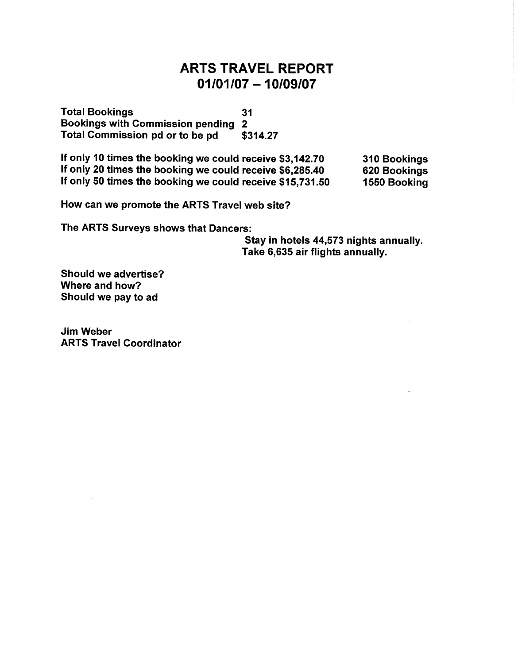### **ARTS TRAVEL REPORT**  $01/01/07 - 10/09/07$

**Total Bookings**  $31$ Bookings with Commission pending 2 Total Commission pd or to be pd \$314.27

If only 10 times the booking we could receive \$3,142.70 If only 20 times the booking we could receive \$6,285.40 If only 50 times the booking we could receive \$15,731.50

310 Bookings 620 Bookings 1550 Booking

How can we promote the ARTS Travel web site?

The ARTS Surveys shows that Dancers:

Stay in hotels 44,573 nights annually. Take 6,635 air flights annually.

Should we advertise? Where and how? Should we pay to ad

**Jim Weber ARTS Travel Coordinator**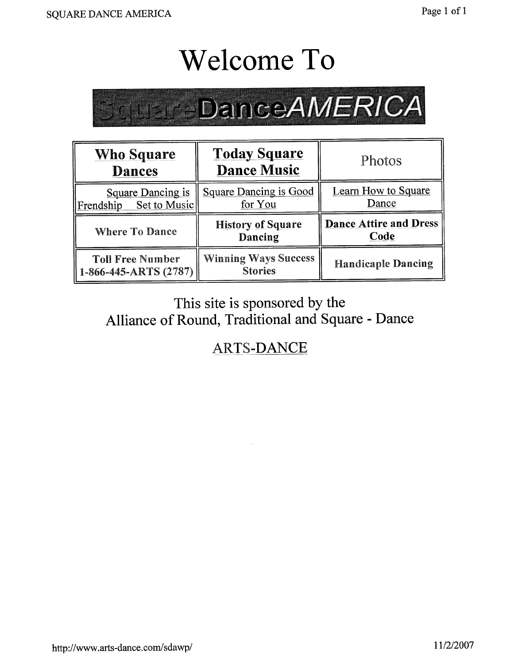## **Welcome To**

# **Clubre Dance AMERICA**

| <b>Who Square</b><br><b>Dances</b>                           | <b>Today Square</b><br><b>Dance Music</b>     | Photos                                |
|--------------------------------------------------------------|-----------------------------------------------|---------------------------------------|
| <b>Square Dancing is</b><br>Set to Music<br>Frendship        | <b>Square Dancing is Good</b><br>for You      | Learn How to Square<br>Dance          |
| <b>Where To Dance</b>                                        | <b>History of Square</b><br>Dancing           | <b>Dance Attire and Dress</b><br>Code |
| <b>Toll Free Number</b><br>$\parallel$ 1-866-445-ARTS (2787) | <b>Winning Ways Success</b><br><b>Stories</b> | <b>Handicaple Dancing</b>             |

### This site is sponsored by the Alliance of Round, Traditional and Square - Dance

## **ARTS-DANCE**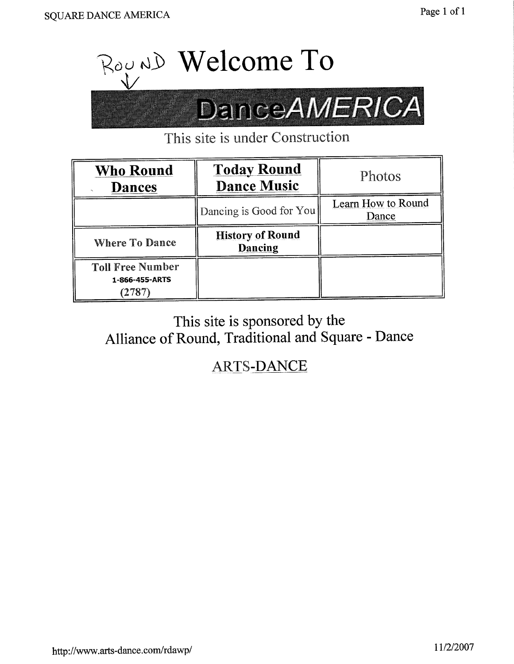

This site is under Construction

| <b>Who Round</b><br><b>Dances</b>         | <b>Today Round</b><br><b>Dance Music</b> | Photos                      |
|-------------------------------------------|------------------------------------------|-----------------------------|
|                                           | Dancing is Good for You                  | Learn How to Round<br>Dance |
| <b>Where To Dance</b>                     | <b>History of Round</b><br>Dancing       |                             |
| <b>Toll Free Number</b><br>1-866-455-ARTS |                                          |                             |

This site is sponsored by the Alliance of Round, Traditional and Square - Dance

**ARTS-DANCE**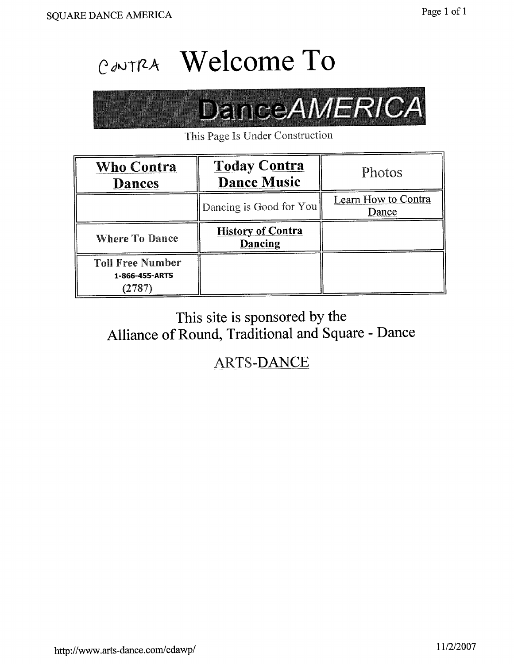## CONTRA Welcome To

# **DanceAMERICA**

This Page Is Under Construction

| <b>Who Contra</b><br><b>Dances</b>                  | <b>Today Contra</b><br><b>Dance Music</b> | Photos                       |
|-----------------------------------------------------|-------------------------------------------|------------------------------|
|                                                     | Dancing is Good for You                   | Learn How to Contra<br>Dance |
| <b>Where To Dance</b>                               | <b>History of Contra</b><br>Dancing       |                              |
| <b>Toll Free Number</b><br>1-866-455-ARTS<br>(2787) |                                           |                              |

## This site is sponsored by the Alliance of Round, Traditional and Square - Dance

**ARTS-DANCE**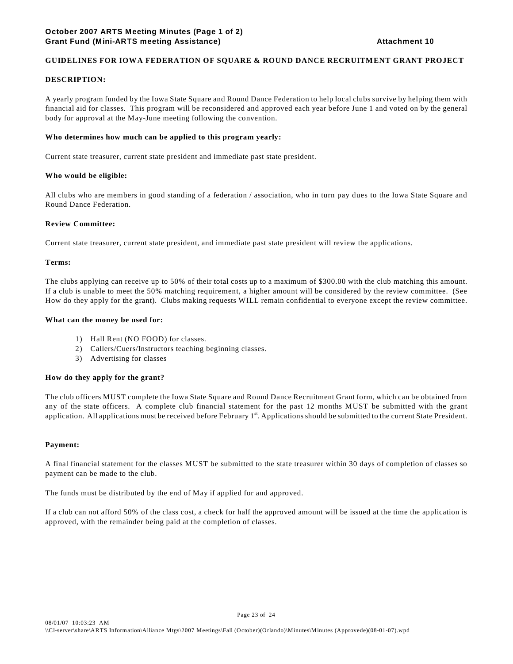#### **GUIDELINES FOR IOWA FEDERATION OF SQUARE & ROUND DANCE RECRUITMENT GRANT PROJECT**

#### **DESCRIPTION:**

A yearly program funded by the Iowa State Square and Round Dance Federation to help local clubs survive by helping them with financial aid for classes. This program will be reconsidered and approved each year before June 1 and voted on by the general body for approval at the May-June meeting following the convention.

#### **Who determines how much can be applied to this program yearly:**

Current state treasurer, current state president and immediate past state president.

#### **Who would be eligible:**

All clubs who are members in good standing of a federation / association, who in turn pay dues to the Iowa State Square and Round Dance Federation.

#### **Review Committee:**

Current state treasurer, current state president, and immediate past state president will review the applications.

#### **Terms:**

The clubs applying can receive up to 50% of their total costs up to a maximum of \$300.00 with the club matching this amount. If a club is unable to meet the 50% matching requirement, a higher amount will be considered by the review committee. (See How do they apply for the grant). Clubs making requests WILL remain confidential to everyone except the review committee.

#### **What can the money be used for:**

- 1) Hall Rent (NO FOOD) for classes.
- 2) Callers/Cuers/Instructors teaching beginning classes.
- 3) Advertising for classes

#### **How do they apply for the grant?**

The club officers MUST complete the Iowa State Square and Round Dance Recruitment Grant form, which can be obtained from any of the state officers. A complete club financial statement for the past 12 months MUST be submitted with the grant application. All applications must be received before February 1<sup>st</sup>. Applications should be submitted to the current State President.

#### **Payment:**

A final financial statement for the classes MUST be submitted to the state treasurer within 30 days of completion of classes so payment can be made to the club.

The funds must be distributed by the end of May if applied for and approved.

If a club can not afford 50% of the class cost, a check for half the approved amount will be issued at the time the application is approved, with the remainder being paid at the completion of classes.

Page 23 of 24